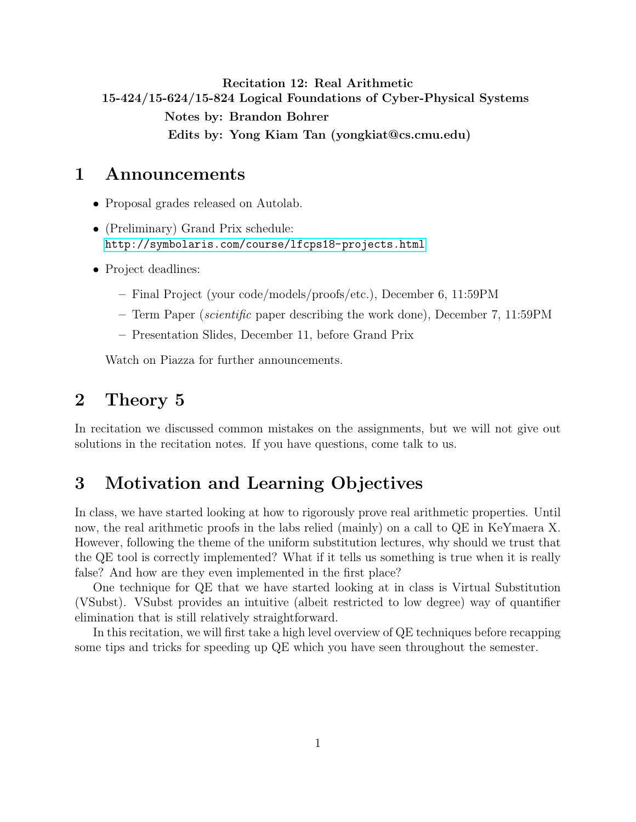<span id="page-0-0"></span>Recitation 12: Real Arithmetic 15-424/15-624/15-824 Logical Foundations of Cyber-Physical Systems Notes by: Brandon Bohrer Edits by: Yong Kiam Tan (yongkiat@cs.cmu.edu)

### 1 Announcements

- Proposal grades released on Autolab.
- (Preliminary) Grand Prix schedule: <http://symbolaris.com/course/lfcps18-projects.html>
- Project deadlines:
	- Final Project (your code/models/proofs/etc.), December 6, 11:59PM
	- Term Paper *(scientific paper describing the work done)*, December 7, 11:59PM
	- Presentation Slides, December 11, before Grand Prix

Watch on Piazza for further announcements.

### 2 Theory 5

In recitation we discussed common mistakes on the assignments, but we will not give out solutions in the recitation notes. If you have questions, come talk to us.

## 3 Motivation and Learning Objectives

In class, we have started looking at how to rigorously prove real arithmetic properties. Until now, the real arithmetic proofs in the labs relied (mainly) on a call to QE in KeYmaera X. However, following the theme of the uniform substitution lectures, why should we trust that the QE tool is correctly implemented? What if it tells us something is true when it is really false? And how are they even implemented in the first place?

One technique for QE that we have started looking at in class is Virtual Substitution (VSubst). VSubst provides an intuitive (albeit restricted to low degree) way of quantifier elimination that is still relatively straightforward.

In this recitation, we will first take a high level overview of QE techniques before recapping some tips and tricks for speeding up QE which you have seen throughout the semester.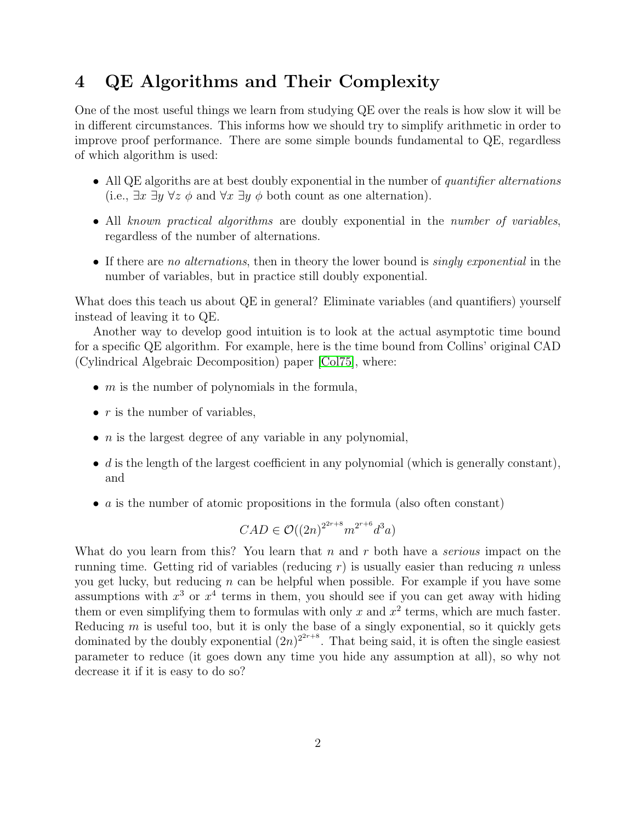# 4 QE Algorithms and Their Complexity

One of the most useful things we learn from studying QE over the reals is how slow it will be in different circumstances. This informs how we should try to simplify arithmetic in order to improve proof performance. There are some simple bounds fundamental to QE, regardless of which algorithm is used:

- All QE algoriths are at best doubly exponential in the number of quantifier alternations (i.e.,  $\exists x \exists y \forall z \phi$  and  $\forall x \exists y \phi$  both count as one alternation).
- All known practical algorithms are doubly exponential in the number of variables, regardless of the number of alternations.
- If there are no alternations, then in theory the lower bound is singly exponential in the number of variables, but in practice still doubly exponential.

What does this teach us about QE in general? Eliminate variables (and quantifiers) yourself instead of leaving it to QE.

Another way to develop good intuition is to look at the actual asymptotic time bound for a specific QE algorithm. For example, here is the time bound from Collins' original CAD (Cylindrical Algebraic Decomposition) paper [\[Col75\]](#page-8-0), where:

- $\bullet$  *m* is the number of polynomials in the formula,
- $r$  is the number of variables,
- $\bullet$  *n* is the largest degree of any variable in any polynomial,
- $\bullet$  d is the length of the largest coefficient in any polynomial (which is generally constant), and
- a is the number of atomic propositions in the formula (also often constant)

$$
CAD \in \mathcal{O}((2n)^{2^{2r+8}} m^{2^{r+6}} d^3 a)
$$

What do you learn from this? You learn that n and r both have a *serious* impact on the running time. Getting rid of variables (reducing r) is usually easier than reducing n unless you get lucky, but reducing  $n$  can be helpful when possible. For example if you have some assumptions with  $x^3$  or  $x^4$  terms in them, you should see if you can get away with hiding them or even simplifying them to formulas with only x and  $x^2$  terms, which are much faster. Reducing  $m$  is useful too, but it is only the base of a singly exponential, so it quickly gets dominated by the doubly exponential  $(2n)^{2^{2r+8}}$ . That being said, it is often the single easiest parameter to reduce (it goes down any time you hide any assumption at all), so why not decrease it if it is easy to do so?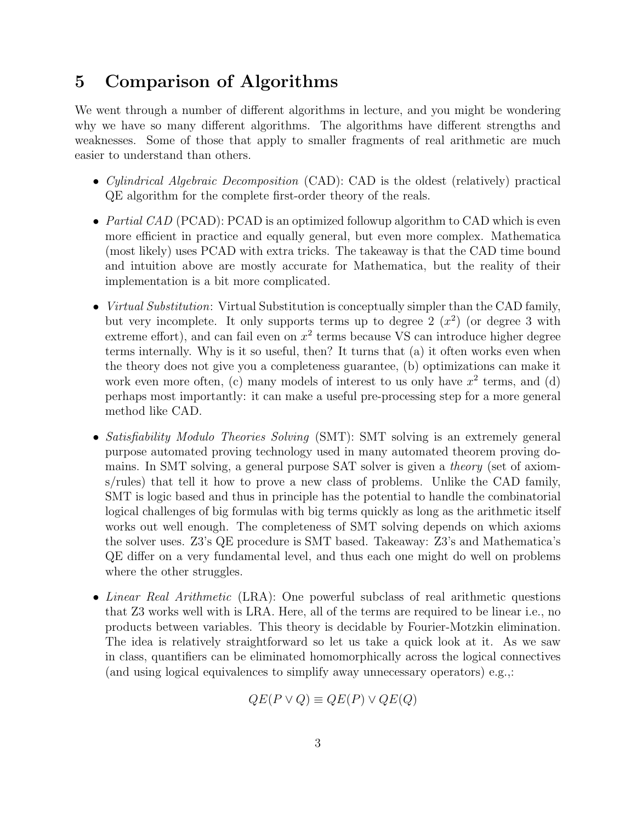## 5 Comparison of Algorithms

We went through a number of different algorithms in lecture, and you might be wondering why we have so many different algorithms. The algorithms have different strengths and weaknesses. Some of those that apply to smaller fragments of real arithmetic are much easier to understand than others.

- Cylindrical Algebraic Decomposition (CAD): CAD is the oldest (relatively) practical QE algorithm for the complete first-order theory of the reals.
- Partial CAD (PCAD): PCAD is an optimized followup algorithm to CAD which is even more efficient in practice and equally general, but even more complex. Mathematica (most likely) uses PCAD with extra tricks. The takeaway is that the CAD time bound and intuition above are mostly accurate for Mathematica, but the reality of their implementation is a bit more complicated.
- Virtual Substitution: Virtual Substitution is conceptually simpler than the CAD family, but very incomplete. It only supports terms up to degree  $2(x^2)$  (or degree 3 with extreme effort), and can fail even on  $x^2$  terms because VS can introduce higher degree terms internally. Why is it so useful, then? It turns that (a) it often works even when the theory does not give you a completeness guarantee, (b) optimizations can make it work even more often, (c) many models of interest to us only have  $x^2$  terms, and (d) perhaps most importantly: it can make a useful pre-processing step for a more general method like CAD.
- Satisfiability Modulo Theories Solving (SMT): SMT solving is an extremely general purpose automated proving technology used in many automated theorem proving domains. In SMT solving, a general purpose SAT solver is given a theory (set of axioms/rules) that tell it how to prove a new class of problems. Unlike the CAD family, SMT is logic based and thus in principle has the potential to handle the combinatorial logical challenges of big formulas with big terms quickly as long as the arithmetic itself works out well enough. The completeness of SMT solving depends on which axioms the solver uses. Z3's QE procedure is SMT based. Takeaway: Z3's and Mathematica's QE differ on a very fundamental level, and thus each one might do well on problems where the other struggles.
- Linear Real Arithmetic (LRA): One powerful subclass of real arithmetic questions that Z3 works well with is LRA. Here, all of the terms are required to be linear i.e., no products between variables. This theory is decidable by Fourier-Motzkin elimination. The idea is relatively straightforward so let us take a quick look at it. As we saw in class, quantifiers can be eliminated homomorphically across the logical connectives (and using logical equivalences to simplify away unnecessary operators) e.g.,:

$$
QE(P \vee Q) \equiv QE(P) \vee QE(Q)
$$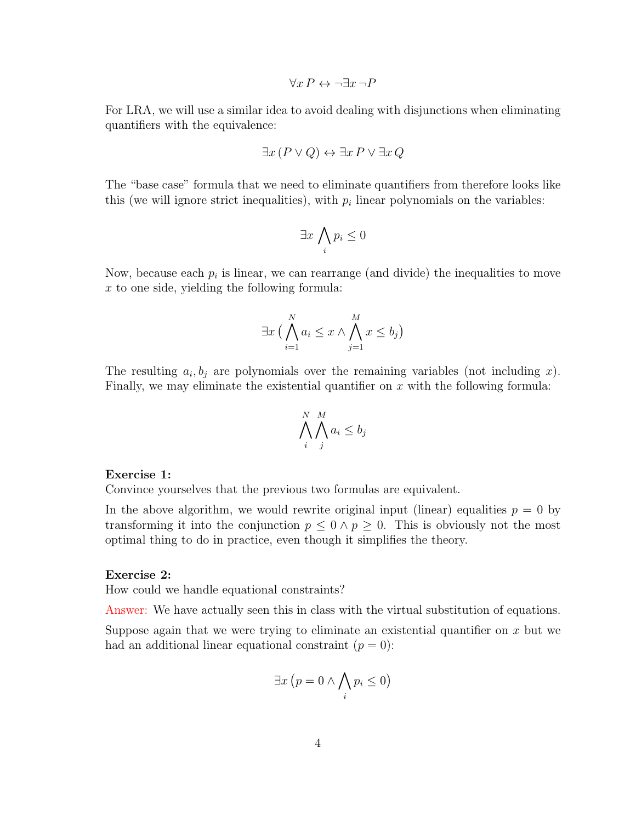$$
\forall x\,P \leftrightarrow \neg \exists x\, \neg P
$$

For LRA, we will use a similar idea to avoid dealing with disjunctions when eliminating quantifiers with the equivalence:

$$
\exists x (P \lor Q) \leftrightarrow \exists x P \lor \exists x Q
$$

The "base case" formula that we need to eliminate quantifiers from therefore looks like this (we will ignore strict inequalities), with  $p_i$  linear polynomials on the variables:

$$
\exists x \bigwedge_i p_i \le 0
$$

Now, because each  $p_i$  is linear, we can rearrange (and divide) the inequalities to move  $x$  to one side, yielding the following formula:

$$
\exists x \, \big(\bigwedge_{i=1}^N a_i \leq x \land \bigwedge_{j=1}^M x \leq b_j\big)
$$

The resulting  $a_i, b_j$  are polynomials over the remaining variables (not including x). Finally, we may eliminate the existential quantifier on  $x$  with the following formula:

$$
\bigwedge_{i}^{N} \bigwedge_{j}^{M} a_i \leq b_j
$$

#### Exercise 1:

Convince yourselves that the previous two formulas are equivalent.

In the above algorithm, we would rewrite original input (linear) equalities  $p = 0$  by transforming it into the conjunction  $p \leq 0 \land p \geq 0$ . This is obviously not the most optimal thing to do in practice, even though it simplifies the theory.

#### Exercise 2:

How could we handle equational constraints?

Answer: We have actually seen this in class with the virtual substitution of equations.

Suppose again that we were trying to eliminate an existential quantifier on  $x$  but we had an additional linear equational constraint  $(p = 0)$ :

$$
\exists x \left( p = 0 \land \bigwedge_i p_i \le 0 \right)
$$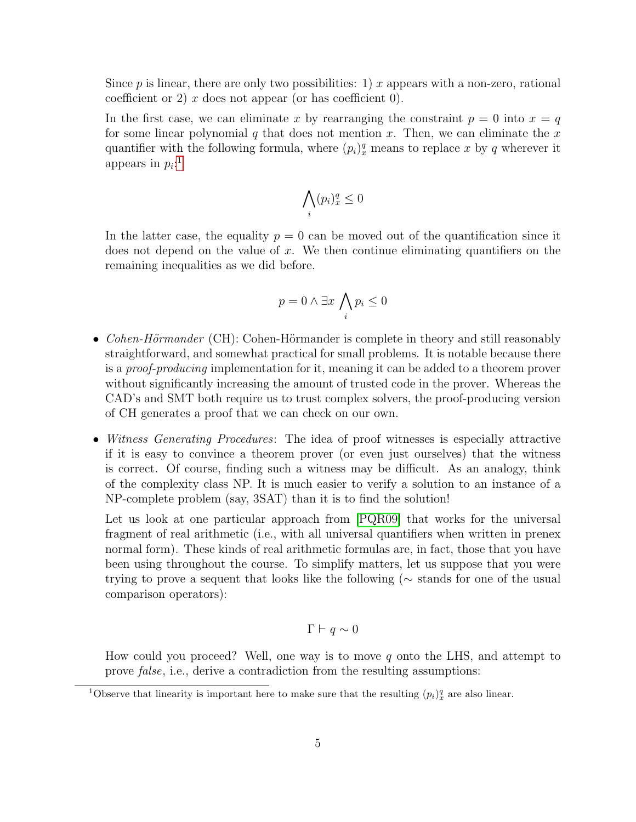Since  $p$  is linear, there are only two possibilities: 1) x appears with a non-zero, rational coefficient or 2) x does not appear (or has coefficient 0).

In the first case, we can eliminate x by rearranging the constraint  $p = 0$  into  $x = q$ for some linear polynomial q that does not mention x. Then, we can eliminate the x quantifier with the following formula, where  $(p_i)_x^q$  means to replace x by q wherever it appears in  $p_i$ :<sup>[1](#page-4-0)</sup>

$$
\bigwedge_i (p_i)^q_x \le 0
$$

In the latter case, the equality  $p = 0$  can be moved out of the quantification since it does not depend on the value of  $x$ . We then continue eliminating quantifiers on the remaining inequalities as we did before.

$$
p = 0 \land \exists x \bigwedge_i p_i \le 0
$$

- Cohen-Hörmander (CH): Cohen-Hörmander is complete in theory and still reasonably straightforward, and somewhat practical for small problems. It is notable because there is a proof-producing implementation for it, meaning it can be added to a theorem prover without significantly increasing the amount of trusted code in the prover. Whereas the CAD's and SMT both require us to trust complex solvers, the proof-producing version of CH generates a proof that we can check on our own.
- Witness Generating Procedures: The idea of proof witnesses is especially attractive if it is easy to convince a theorem prover (or even just ourselves) that the witness is correct. Of course, finding such a witness may be difficult. As an analogy, think of the complexity class NP. It is much easier to verify a solution to an instance of a NP-complete problem (say, 3SAT) than it is to find the solution!

Let us look at one particular approach from [\[PQR09\]](#page-8-1) that works for the universal fragment of real arithmetic (i.e., with all universal quantifiers when written in prenex normal form). These kinds of real arithmetic formulas are, in fact, those that you have been using throughout the course. To simplify matters, let us suppose that you were trying to prove a sequent that looks like the following (∼ stands for one of the usual comparison operators):

$$
\Gamma \vdash q \sim 0
$$

How could you proceed? Well, one way is to move q onto the LHS, and attempt to prove false, i.e., derive a contradiction from the resulting assumptions:

<span id="page-4-0"></span><sup>&</sup>lt;sup>1</sup>Observe that linearity is important here to make sure that the resulting  $(p_i)_x^q$  are also linear.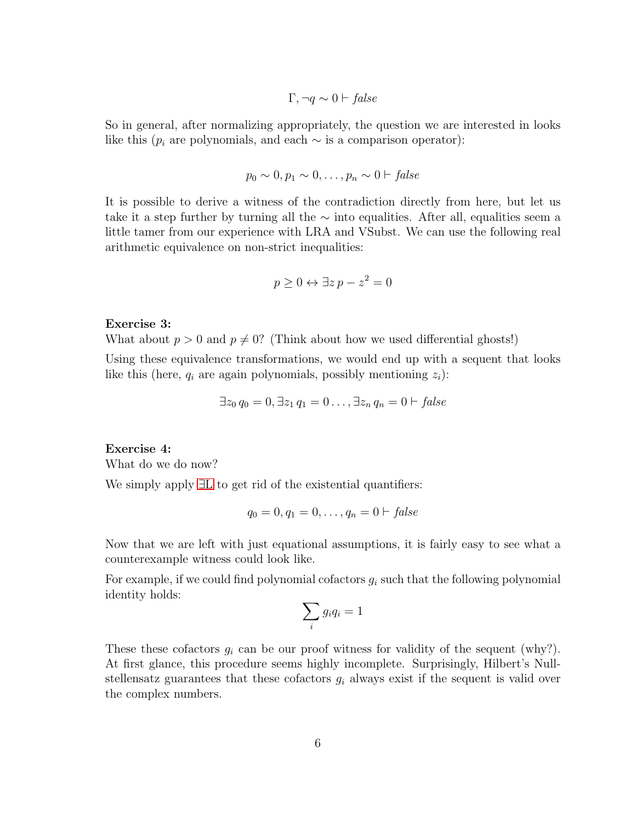$$
\Gamma, \neg q \sim 0 \vdash false
$$

So in general, after normalizing appropriately, the question we are interested in looks like this ( $p_i$  are polynomials, and each  $\sim$  is a comparison operator):

$$
p_0 \sim 0, p_1 \sim 0, \ldots, p_n \sim 0 \vdash false
$$

It is possible to derive a witness of the contradiction directly from here, but let us take it a step further by turning all the  $\sim$  into equalities. After all, equalities seem a little tamer from our experience with LRA and VSubst. We can use the following real arithmetic equivalence on non-strict inequalities:

$$
p \ge 0 \leftrightarrow \exists z \, p - z^2 = 0
$$

#### Exercise 3:

What about  $p > 0$  and  $p \neq 0$ ? (Think about how we used differential ghosts!)

Using these equivalence transformations, we would end up with a sequent that looks like this (here,  $q_i$  are again polynomials, possibly mentioning  $z_i$ ):

$$
\exists z_0 q_0 = 0, \exists z_1 q_1 = 0 \dots, \exists z_n q_n = 0 \vdash false
$$

#### Exercise 4:

What do we do now?

We simply apply ∃[L](#page-0-0) to get rid of the existential quantifiers:

$$
q_0 = 0, q_1 = 0, ..., q_n = 0 \vdash false
$$

Now that we are left with just equational assumptions, it is fairly easy to see what a counterexample witness could look like.

For example, if we could find polynomial cofactors  $g_i$  such that the following polynomial identity holds:

$$
\sum_i g_i q_i = 1
$$

These these cofactors  $g_i$  can be our proof witness for validity of the sequent (why?). At first glance, this procedure seems highly incomplete. Surprisingly, Hilbert's Nullstellensatz guarantees that these cofactors  $g_i$  always exist if the sequent is valid over the complex numbers.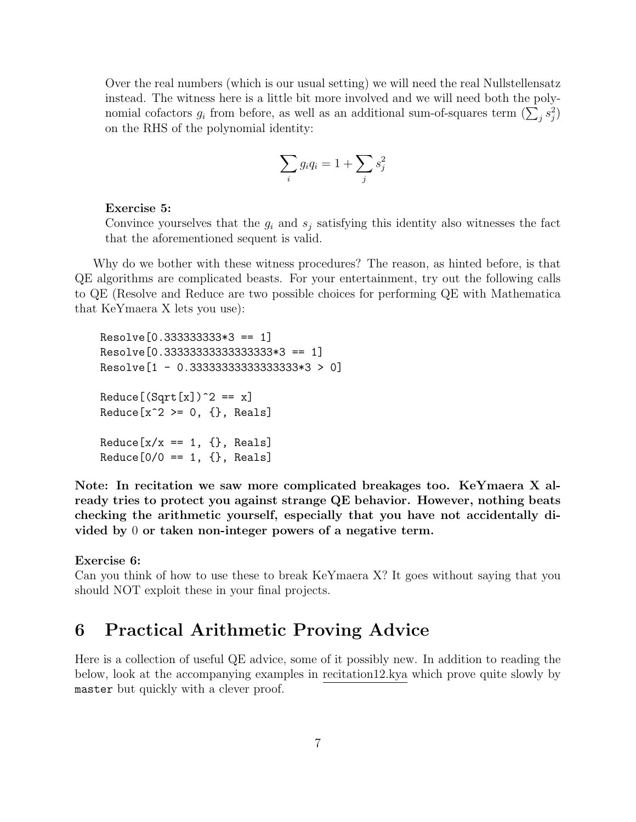Over the real numbers (which is our usual setting) we will need the real Nullstellensatz instead. The witness here is a little bit more involved and we will need both the polynomial cofactors  $g_i$  from before, as well as an additional sum-of-squares term  $(\sum_j s_j^2)$ on the RHS of the polynomial identity:

$$
\sum_i g_i q_i = 1 + \sum_j s_j^2
$$

#### Exercise 5:

Convince yourselves that the  $g_i$  and  $s_j$  satisfying this identity also witnesses the fact that the aforementioned sequent is valid.

Why do we bother with these witness procedures? The reason, as hinted before, is that QE algorithms are complicated beasts. For your entertainment, try out the following calls to QE (Resolve and Reduce are two possible choices for performing QE with Mathematica that KeYmaera X lets you use):

```
Resolve[0.333333333*3 == 1]
Resolve[0.33333333333333333*3 == 1]
Resolve[1 - 0.33333333333333333*3 > 0]
Reduce[(Sqrt[x])^2 == x]Reduce[x^2 >= 0, {}, Reals]
Reduce[x/x == 1, {} }, Reals]
Reduce[0/0 == 1, {} {}, Reals]
```
Note: In recitation we saw more complicated breakages too. KeYmaera X already tries to protect you against strange QE behavior. However, nothing beats checking the arithmetic yourself, especially that you have not accidentally divided by 0 or taken non-integer powers of a negative term.

#### Exercise 6:

Can you think of how to use these to break KeYmaera X? It goes without saying that you should NOT exploit these in your final projects.

### 6 Practical Arithmetic Proving Advice

Here is a collection of useful QE advice, some of it possibly new. In addition to reading the below, look at the accompanying examples in recitation12.kya which prove quite slowly by master but quickly with a clever proof.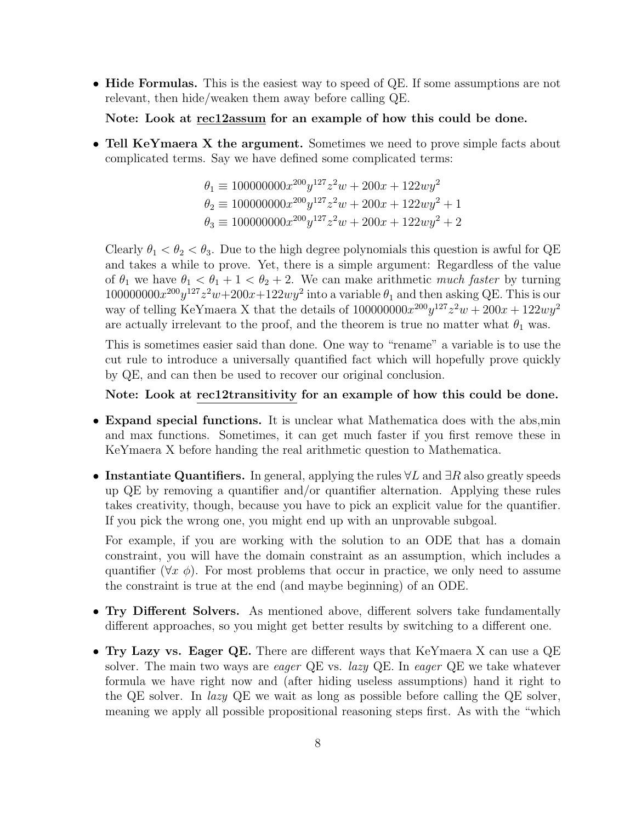• **Hide Formulas.** This is the easiest way to speed of QE. If some assumptions are not relevant, then hide/weaken them away before calling QE.

Note: Look at rec12assum for an example of how this could be done.

• Tell KeYmaera X the argument. Sometimes we need to prove simple facts about complicated terms. Say we have defined some complicated terms:

$$
\theta_1 \equiv 100000000x^{200}y^{127}z^2w + 200x + 122wy^2
$$
  
\n
$$
\theta_2 \equiv 100000000x^{200}y^{127}z^2w + 200x + 122wy^2 + 1
$$
  
\n
$$
\theta_3 \equiv 100000000x^{200}y^{127}z^2w + 200x + 122wy^2 + 2
$$

Clearly  $\theta_1 < \theta_2 < \theta_3$ . Due to the high degree polynomials this question is awful for QE and takes a while to prove. Yet, there is a simple argument: Regardless of the value of  $\theta_1$  we have  $\theta_1 < \theta_1 + 1 < \theta_2 + 2$ . We can make arithmetic much faster by turning  $100000000x^{200}y^{127}z^2w+200x+122wy^2$  into a variable  $\theta_1$  and then asking QE. This is our way of telling KeYmaera X that the details of  $100000000x^{200}y^{127}z^2w + 200x + 122wy^2$ are actually irrelevant to the proof, and the theorem is true no matter what  $\theta_1$  was.

This is sometimes easier said than done. One way to "rename" a variable is to use the cut rule to introduce a universally quantified fact which will hopefully prove quickly by QE, and can then be used to recover our original conclusion.

Note: Look at rec12transitivity for an example of how this could be done.

- Expand special functions. It is unclear what Mathematica does with the abs,min and max functions. Sometimes, it can get much faster if you first remove these in KeYmaera X before handing the real arithmetic question to Mathematica.
- Instantiate Quantifiers. In general, applying the rules  $\forall L$  and  $\exists R$  also greatly speeds up QE by removing a quantifier and/or quantifier alternation. Applying these rules takes creativity, though, because you have to pick an explicit value for the quantifier. If you pick the wrong one, you might end up with an unprovable subgoal.

For example, if you are working with the solution to an ODE that has a domain constraint, you will have the domain constraint as an assumption, which includes a quantifier  $(\forall x \phi)$ . For most problems that occur in practice, we only need to assume the constraint is true at the end (and maybe beginning) of an ODE.

- Try Different Solvers. As mentioned above, different solvers take fundamentally different approaches, so you might get better results by switching to a different one.
- Try Lazy vs. Eager QE. There are different ways that KeYmaera X can use a QE solver. The main two ways are *eager* QE vs. *lazy* QE. In *eager* QE we take whatever formula we have right now and (after hiding useless assumptions) hand it right to the QE solver. In lazy QE we wait as long as possible before calling the QE solver, meaning we apply all possible propositional reasoning steps first. As with the "which